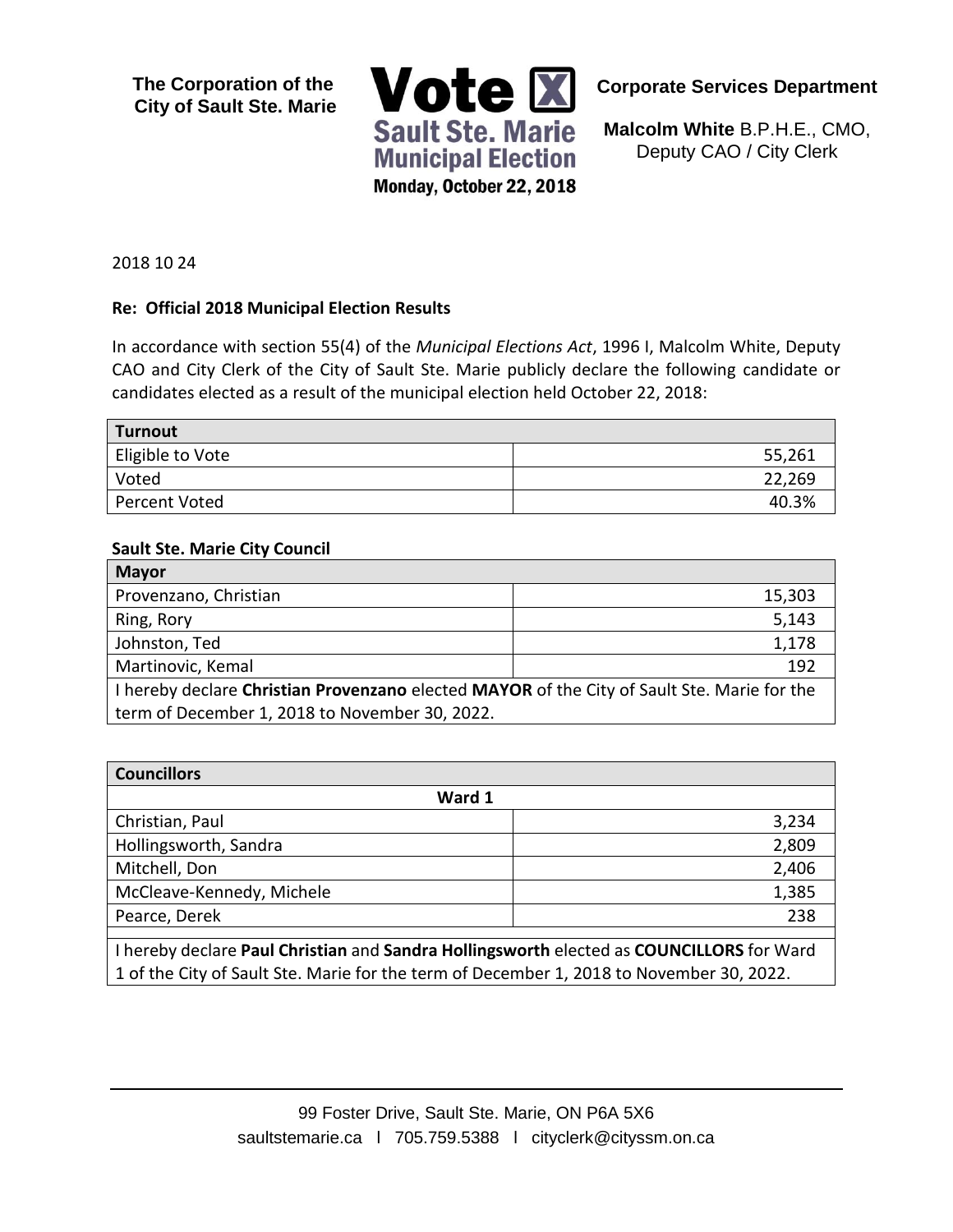**The Corporation of the City of Sault Ste. Marie**



**Corporate Services Department**

**Malcolm White** B.P.H.E., CMO, Deputy CAO / City Clerk

2018 10 24

#### **Re: Official 2018 Municipal Election Results**

In accordance with section 55(4) of the *Municipal Elections Act*, 1996 I, Malcolm White, Deputy CAO and City Clerk of the City of Sault Ste. Marie publicly declare the following candidate or candidates elected as a result of the municipal election held October 22, 2018:

| Turnout              |        |
|----------------------|--------|
| Eligible to Vote     | 55,261 |
| Voted                | 22,269 |
| <b>Percent Voted</b> | 40.3%  |

#### **Sault Ste. Marie City Council**

| <b>Mayor</b>                                                                                |        |
|---------------------------------------------------------------------------------------------|--------|
| Provenzano, Christian                                                                       | 15,303 |
| Ring, Rory                                                                                  | 5,143  |
| Johnston, Ted                                                                               | 1,178  |
| Martinovic, Kemal                                                                           | 192    |
| I hereby declare Christian Provenzano elected MAYOR of the City of Sault Ste. Marie for the |        |
| term of December 1, 2018 to November 30, 2022.                                              |        |

| <b>Councillors</b>                                                                       |       |
|------------------------------------------------------------------------------------------|-------|
| Ward 1                                                                                   |       |
| Christian, Paul                                                                          | 3,234 |
| Hollingsworth, Sandra                                                                    | 2,809 |
| Mitchell, Don                                                                            | 2,406 |
| McCleave-Kennedy, Michele                                                                | 1,385 |
| Pearce, Derek                                                                            | 238   |
|                                                                                          |       |
| I hereby declare Paul Christian and Sandra Hollingsworth elected as COUNCILLORS for Ward |       |

1 of the City of Sault Ste. Marie for the term of December 1, 2018 to November 30, 2022.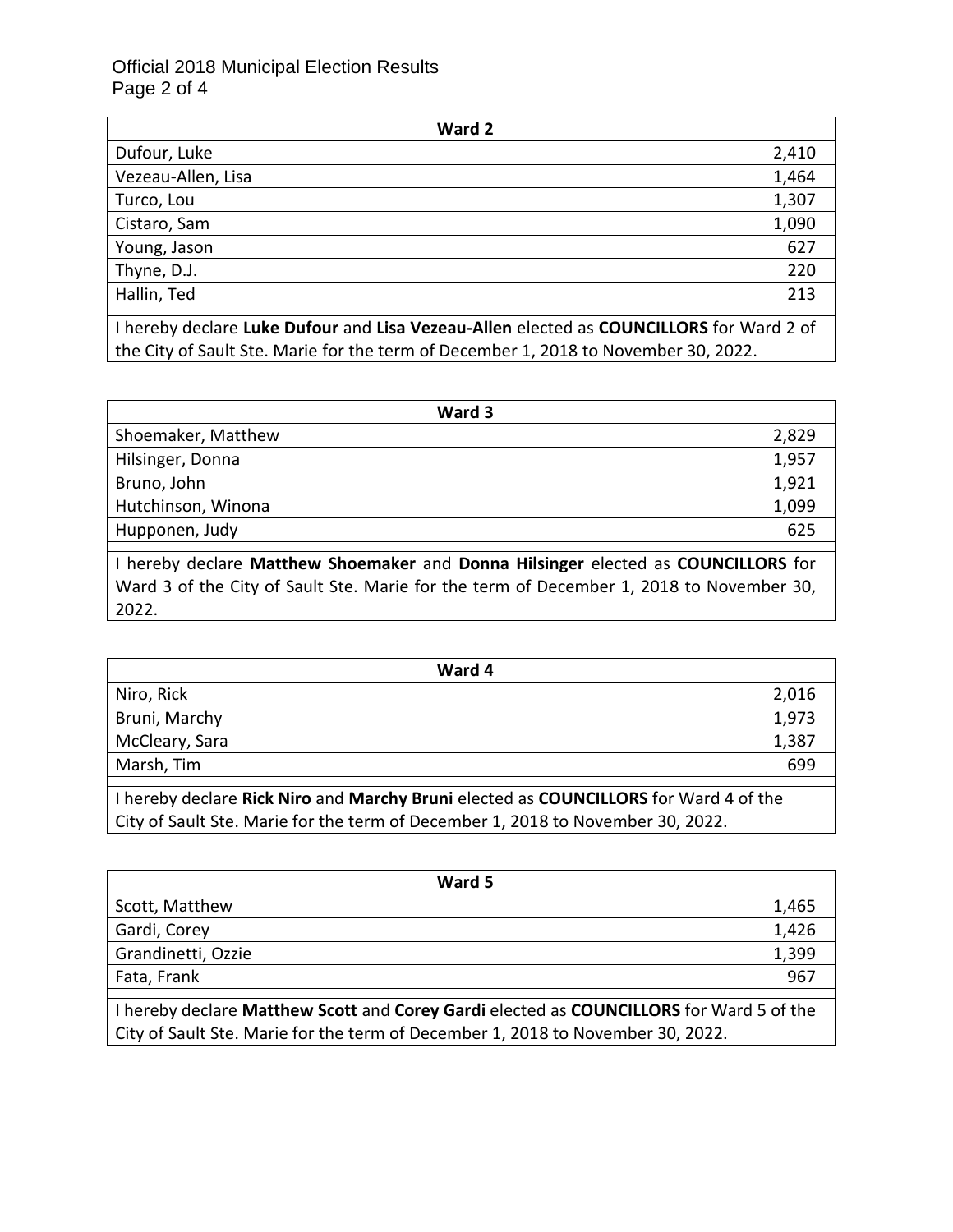### Official 2018 Municipal Election Results Page 2 of 4

| Ward 2             |       |
|--------------------|-------|
| Dufour, Luke       | 2,410 |
| Vezeau-Allen, Lisa | 1,464 |
| Turco, Lou         | 1,307 |
| Cistaro, Sam       | 1,090 |
| Young, Jason       | 627   |
| Thyne, D.J.        | 220   |
| Hallin, Ted        | 213   |
|                    |       |

I hereby declare **Luke Dufour** and **Lisa Vezeau-Allen** elected as **COUNCILLORS** for Ward 2 of the City of Sault Ste. Marie for the term of December 1, 2018 to November 30, 2022.

| Ward 3             |       |
|--------------------|-------|
| Shoemaker, Matthew | 2,829 |
| Hilsinger, Donna   | 1,957 |
| Bruno, John        | 1,921 |
| Hutchinson, Winona | 1,099 |
| Hupponen, Judy     | 625   |

I hereby declare **Matthew Shoemaker** and **Donna Hilsinger** elected as **COUNCILLORS** for Ward 3 of the City of Sault Ste. Marie for the term of December 1, 2018 to November 30, 2022.

| Ward 4                                                                               |       |
|--------------------------------------------------------------------------------------|-------|
| Niro, Rick                                                                           | 2,016 |
| Bruni, Marchy                                                                        | 1,973 |
| McCleary, Sara                                                                       | 1,387 |
| Marsh, Tim                                                                           | 699   |
| I hereby declare Rick Niro and Marchy Bruni elected as COUNCILLORS for Ward 4 of the |       |

City of Sault Ste. Marie for the term of December 1, 2018 to November 30, 2022.

| Ward 5                                                                                  |       |
|-----------------------------------------------------------------------------------------|-------|
| Scott, Matthew                                                                          | 1,465 |
| Gardi, Corey                                                                            | 1,426 |
| Grandinetti, Ozzie                                                                      | 1,399 |
| Fata, Frank                                                                             | 967   |
| I hereby declare Matthew Scott and Corey Gardi elected as COUNCILLORS for Ward 5 of the |       |
| City of Sault Ste. Marie for the term of December 1, 2018 to November 30, 2022.         |       |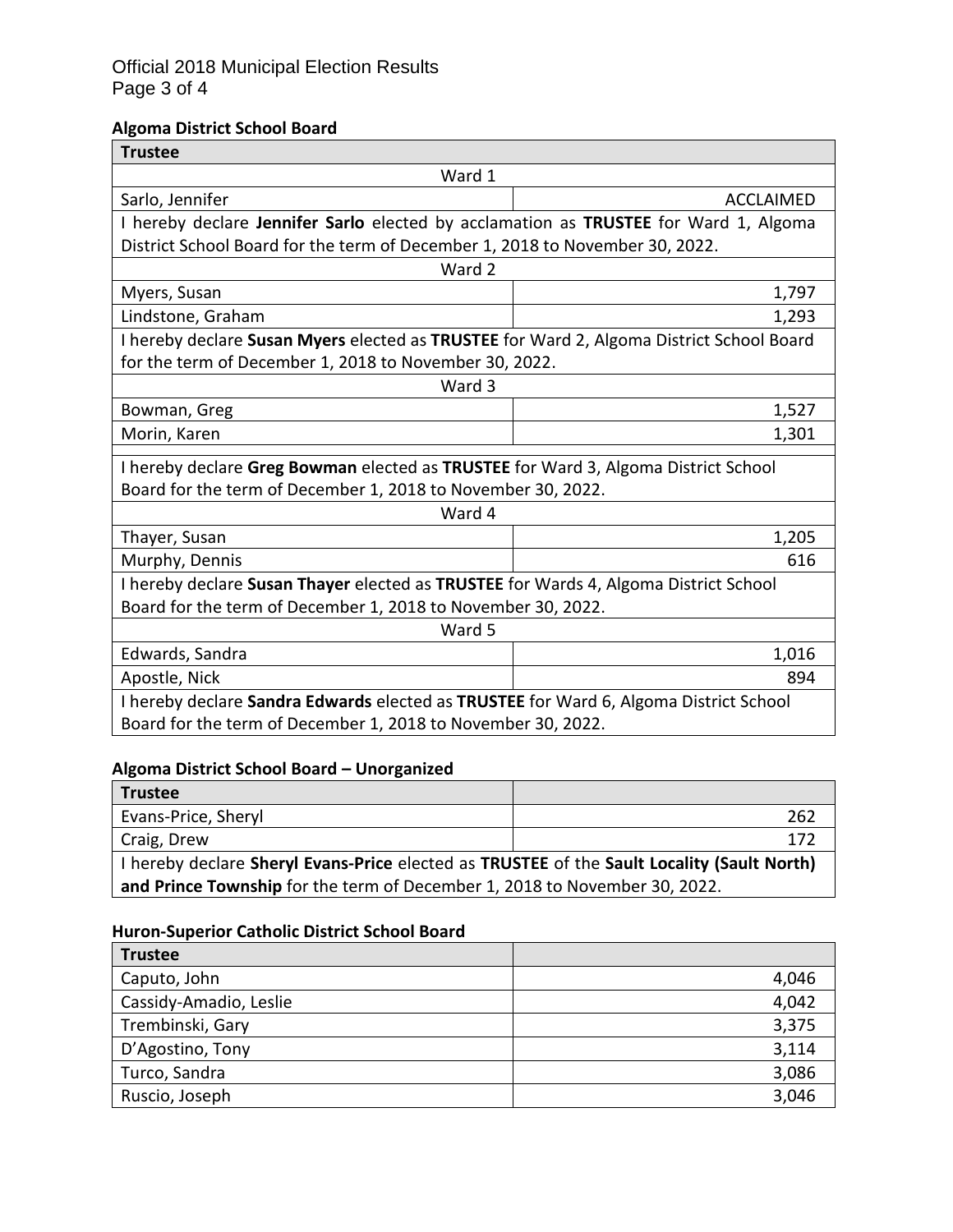### Official 2018 Municipal Election Results Page 3 of 4

# **Algoma District School Board**

| <b>Trustee</b>                                                                                                                                     |                  |  |
|----------------------------------------------------------------------------------------------------------------------------------------------------|------------------|--|
| Ward 1                                                                                                                                             |                  |  |
| Sarlo, Jennifer                                                                                                                                    | <b>ACCLAIMED</b> |  |
| I hereby declare Jennifer Sarlo elected by acclamation as TRUSTEE for Ward 1, Algoma                                                               |                  |  |
| District School Board for the term of December 1, 2018 to November 30, 2022.                                                                       |                  |  |
| Ward 2                                                                                                                                             |                  |  |
| Myers, Susan                                                                                                                                       | 1,797            |  |
| Lindstone, Graham                                                                                                                                  | 1,293            |  |
| I hereby declare Susan Myers elected as TRUSTEE for Ward 2, Algoma District School Board                                                           |                  |  |
| for the term of December 1, 2018 to November 30, 2022.                                                                                             |                  |  |
| Ward 3                                                                                                                                             |                  |  |
| Bowman, Greg                                                                                                                                       | 1,527            |  |
| Morin, Karen                                                                                                                                       | 1,301            |  |
|                                                                                                                                                    |                  |  |
| I hereby declare Greg Bowman elected as TRUSTEE for Ward 3, Algoma District School<br>Board for the term of December 1, 2018 to November 30, 2022. |                  |  |
| Ward 4                                                                                                                                             |                  |  |
| Thayer, Susan                                                                                                                                      | 1,205            |  |
| Murphy, Dennis                                                                                                                                     | 616              |  |
| I hereby declare Susan Thayer elected as TRUSTEE for Wards 4, Algoma District School                                                               |                  |  |
| Board for the term of December 1, 2018 to November 30, 2022.                                                                                       |                  |  |
| Ward 5                                                                                                                                             |                  |  |
| Edwards, Sandra                                                                                                                                    | 1,016            |  |
| Apostle, Nick                                                                                                                                      | 894              |  |
| I hereby declare Sandra Edwards elected as TRUSTEE for Ward 6, Algoma District School                                                              |                  |  |
| Board for the term of December 1, 2018 to November 30, 2022.                                                                                       |                  |  |

# **Algoma District School Board – Unorganized**

| <b>Trustee</b>                                                                             |      |
|--------------------------------------------------------------------------------------------|------|
| Evans-Price, Sheryl                                                                        | 262  |
| Craig, Drew                                                                                | -172 |
| I hereby declare Sheryl Evans-Price elected as TRUSTEE of the Sault Locality (Sault North) |      |
| and Prince Township for the term of December 1, 2018 to November 30, 2022.                 |      |

# **Huron-Superior Catholic District School Board**

| <b>Trustee</b>         |       |
|------------------------|-------|
| Caputo, John           | 4,046 |
| Cassidy-Amadio, Leslie | 4,042 |
| Trembinski, Gary       | 3,375 |
| D'Agostino, Tony       | 3,114 |
| Turco, Sandra          | 3,086 |
| Ruscio, Joseph         | 3,046 |